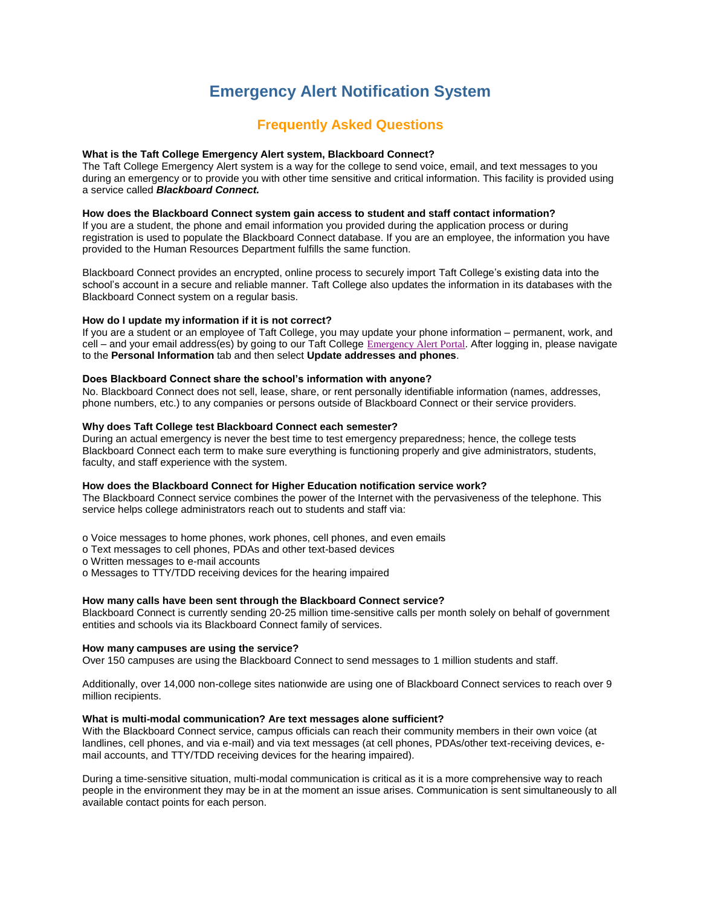# **Emergency Alert Notification System**

# **Frequently Asked Questions**

# **What is the Taft College Emergency Alert system, Blackboard Connect?**

The Taft College Emergency Alert system is a way for the college to send voice, email, and text messages to you during an emergency or to provide you with other time sensitive and critical information. This facility is provided using a service called *Blackboard Connect.* 

#### **How does the Blackboard Connect system gain access to student and staff contact information?**

If you are a student, the phone and email information you provided during the application process or during registration is used to populate the Blackboard Connect database. If you are an employee, the information you have provided to the Human Resources Department fulfills the same function.

Blackboard Connect provides an encrypted, online process to securely import Taft College's existing data into the school's account in a secure and reliable manner. Taft College also updates the information in its databases with the Blackboard Connect system on a regular basis.

#### **How do I update my information if it is not correct?**

If you are a student or an employee of Taft College, you may update your phone information – permanent, work, and cell – and your email address(es) by going to our Taft College [Emergency Alert Portal](https://taftcollege.bbcportal.com/). After logging in, please navigate to the **Personal Information** tab and then select **Update addresses and phones**.

#### **Does Blackboard Connect share the school's information with anyone?**

No. Blackboard Connect does not sell, lease, share, or rent personally identifiable information (names, addresses, phone numbers, etc.) to any companies or persons outside of Blackboard Connect or their service providers.

# **Why does Taft College test Blackboard Connect each semester?**

During an actual emergency is never the best time to test emergency preparedness; hence, the college tests Blackboard Connect each term to make sure everything is functioning properly and give administrators, students, faculty, and staff experience with the system.

#### **How does the Blackboard Connect for Higher Education notification service work?**

The Blackboard Connect service combines the power of the Internet with the pervasiveness of the telephone. This service helps college administrators reach out to students and staff via:

o Voice messages to home phones, work phones, cell phones, and even emails

o Text messages to cell phones, PDAs and other text-based devices

o Written messages to e-mail accounts

o Messages to TTY/TDD receiving devices for the hearing impaired

#### **How many calls have been sent through the Blackboard Connect service?**

Blackboard Connect is currently sending 20-25 million time-sensitive calls per month solely on behalf of government entities and schools via its Blackboard Connect family of services.

### **How many campuses are using the service?**

Over 150 campuses are using the Blackboard Connect to send messages to 1 million students and staff.

Additionally, over 14,000 non-college sites nationwide are using one of Blackboard Connect services to reach over 9 million recipients.

#### **What is multi-modal communication? Are text messages alone sufficient?**

With the Blackboard Connect service, campus officials can reach their community members in their own voice (at landlines, cell phones, and via e-mail) and via text messages (at cell phones, PDAs/other text-receiving devices, email accounts, and TTY/TDD receiving devices for the hearing impaired).

During a time-sensitive situation, multi-modal communication is critical as it is a more comprehensive way to reach people in the environment they may be in at the moment an issue arises. Communication is sent simultaneously to all available contact points for each person.